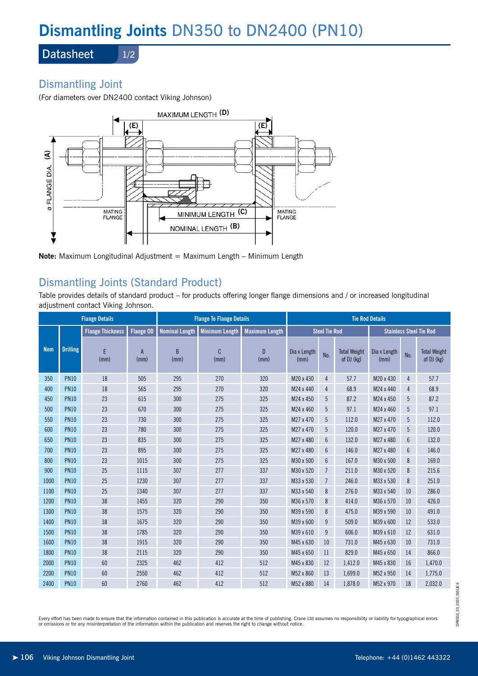# **Dismantling Joints** DN350 to DN2400 (PN10)

**Datasheet** 

### 1/2

# Dismantling Joint

(For diameters over DN2400 contact Viking Johnson)



**Note:** Maximum Longitudinal Adjustment = Maximum Length – Minimum Length

# Dismantling Joints (Standard Product)

Table provides details of standard product – for products offering longer flange dimensions and / or increased longitudinal adjustment contact Viking Johnson.

| <b>Flange Details</b> |                 |                         |                        | <b>Flange To Flange Details</b> |                       |                        | <b>Tie Rod Details</b> |                |                                   |                                |     |                                   |
|-----------------------|-----------------|-------------------------|------------------------|---------------------------------|-----------------------|------------------------|------------------------|----------------|-----------------------------------|--------------------------------|-----|-----------------------------------|
|                       |                 | <b>Flange Thickness</b> | <b>Flange OD</b>       | <b>Nominal Length</b>           | <b>Minimum Length</b> | <b>Maximum Length</b>  | <b>Steel Tie Rod</b>   |                |                                   | <b>Stainless Steel Tie Rod</b> |     |                                   |
| <b>Nom</b>            | <b>Drilling</b> | F<br>(mm)               | $\overline{A}$<br>(mm) | B<br>(mm)                       | $\mathbf{C}$<br>(mm)  | $\overline{D}$<br>(mm) | Dia x Length<br>(mm)   | No.            | <b>Total Weight</b><br>of DJ (kg) | Dia x Length<br>(mm)           | No. | <b>Total Weight</b><br>of DJ (kg) |
| 350                   | <b>PN10</b>     | 18                      | 505                    | 295                             | 270                   | 320                    | M20 x 430              | 4              | 57.7                              | M20 x 430                      | 4   | 57.7                              |
| 400                   | <b>PN10</b>     | 18                      | 565                    | 295                             | 270                   | 320                    | M24 x 440              | 4              | 68.9                              | M24 x 440                      | 4   | 68.9                              |
| 450                   | <b>PN10</b>     | 23                      | 615                    | 300                             | 275                   | 325                    | M24 x 450              | 5              | 87.2                              | M24 x 450                      | 5   | 87.2                              |
| 500                   | <b>PN10</b>     | 23                      | 670                    | 300                             | 275                   | 325                    | M24 x 460              | 5              | 97.1                              | M24 x 460                      | 5   | 97.1                              |
| 550                   | <b>PN10</b>     | 23                      | 730                    | 300                             | 275                   | 325                    | M27 x 470              | 5              | 112.0                             | M27 x 470                      | 5   | 112.0                             |
| 600                   | <b>PN10</b>     | 23                      | 780                    | 300                             | 275                   | 325                    | M27 x 470              | 5              | 120.0                             | M27 x 470                      | 5   | 120.0                             |
| 650                   | <b>PN10</b>     | 23                      | 835                    | 300                             | 275                   | 325                    | M27 x 480              | 6              | 132.0                             | M27 x 480                      | 6   | 132.0                             |
| 700                   | <b>PN10</b>     | 23                      | 895                    | 300                             | 275                   | 325                    | M27 x 480              | 6              | 146.0                             | M27 x 480                      | 6   | 146.0                             |
| 800                   | <b>PN10</b>     | 23                      | 1015                   | 300                             | 275                   | 325                    | M30 x 500              | 6              | 167.0                             | M30 x 500                      | 8   | 169.0                             |
| 900                   | <b>PN10</b>     | 25                      | 1115                   | 307                             | 277                   | 337                    | M30 x 520              | $\overline{7}$ | 211.0                             | M30 x 520                      | 8   | 215.6                             |
| 1000                  | <b>PN10</b>     | 25                      | 1230                   | 307                             | 277                   | 337                    | M33 x 530              | $\overline{7}$ | 246.0                             | M33 x 530                      | 8   | 251.0                             |
| 1100                  | <b>PN10</b>     | 25                      | 1340                   | 307                             | 277                   | 337                    | M33 x 540              | 8              | 276.0                             | M33 x 540                      | 10  | 286.0                             |
| 1200                  | <b>PN10</b>     | 38                      | 1455                   | 320                             | 290                   | 350                    | M36 x 570              | 8              | 414.0                             | M36 x 570                      | 10  | 426.0                             |
| 1300                  | <b>PN10</b>     | 38                      | 1575                   | 320                             | 290                   | 350                    | M39 x 590              | 8              | 475.0                             | M39 x 590                      | 10  | 491.0                             |
| 1400                  | <b>PN10</b>     | 38                      | 1675                   | 320                             | 290                   | 350                    | M39 x 600              | 9              | 509.0                             | M39 x 600                      | 12  | 533.0                             |
| 1500                  | <b>PN10</b>     | 38                      | 1785                   | 320                             | 290                   | 350                    | M39 x 610              | 9              | 606.0                             | M39 x 610                      | 12  | 631.0                             |
| 1600                  | <b>PN10</b>     | 38                      | 1915                   | 320                             | 290                   | 350                    | M45 x 630              | 10             | 731.0                             | M45 x 630                      | 10  | 731.0                             |
| 1800                  | <b>PN10</b>     | 38                      | 2115                   | 320                             | 290                   | 350                    | M45 x 650              | 11             | 829.0                             | M45 x 650                      | 14  | 866.0                             |
| 2000                  | <b>PN10</b>     | 60                      | 2325                   | 462                             | 412                   | 512                    | M45 x 830              | 12             | 1.412.0                           | M45 x 830                      | 16  | 1,470.0                           |
| 2200                  | <b>PN10</b>     | 60                      | 2550                   | 462                             | 412                   | 512                    | M52 x 860              | 13             | 1.699.0                           | M52 x 950                      | 14  | 1,775.0                           |
| 2400                  | <b>PN10</b>     | 60                      | 2760                   | 462                             | 412                   | 512                    | M52 x 880              | 14             | 1,878.0                           | M52 x 970                      | 18  | 2,032.0                           |

Every effort has been made to ensure that the information contained in this publication is accurate at the time of publishing. Crane Ltd assumes no responsibility or liability for typographical errors or omissions or for any misinterpretation of the information within the publication and reserves the right to change without notice.